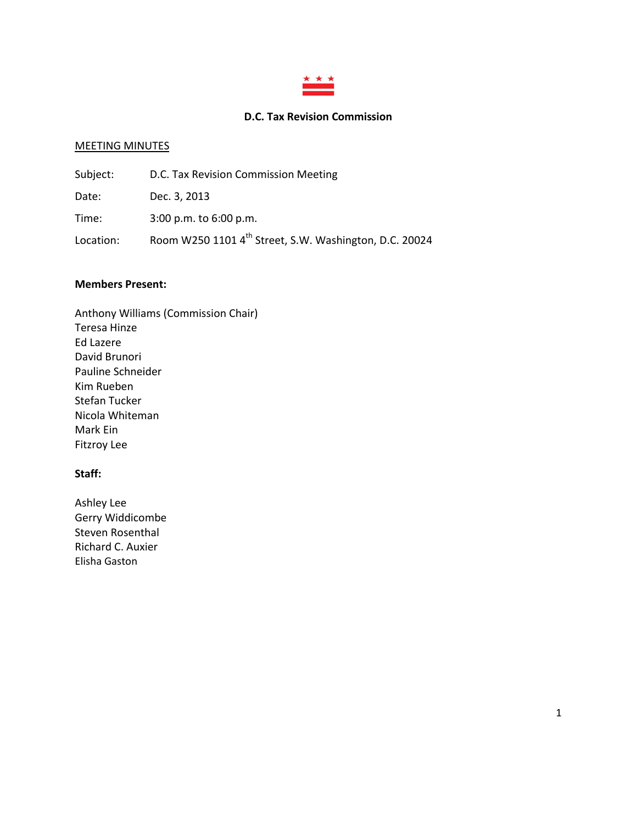

# **D.C. Tax Revision Commission**

### MEETING MINUTES

| Subject:  | D.C. Tax Revision Commission Meeting                               |
|-----------|--------------------------------------------------------------------|
| Date:     | Dec. 3, 2013                                                       |
| Time:     | $3:00$ p.m. to $6:00$ p.m.                                         |
| Location: | Room W250 1101 4 <sup>th</sup> Street, S.W. Washington, D.C. 20024 |

### **Members Present:**

Anthony Williams (Commission Chair) Teresa Hinze Ed Lazere David Brunori Pauline Schneider Kim Rueben Stefan Tucker Nicola Whiteman Mark Ein Fitzroy Lee

### **Staff:**

Ashley Lee Gerry Widdicombe Steven Rosenthal Richard C. Auxier Elisha Gaston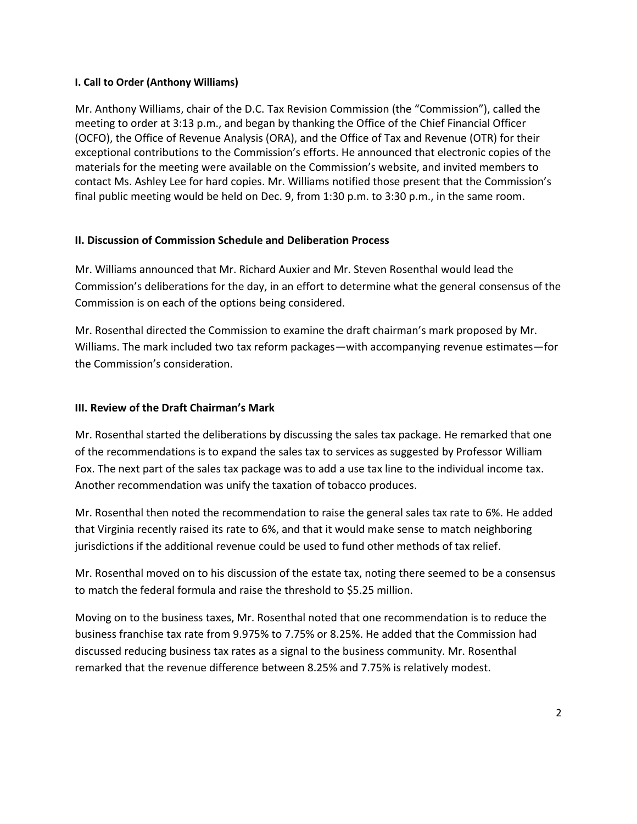## **I. Call to Order (Anthony Williams)**

Mr. Anthony Williams, chair of the D.C. Tax Revision Commission (the "Commission"), called the meeting to order at 3:13 p.m., and began by thanking the Office of the Chief Financial Officer (OCFO), the Office of Revenue Analysis (ORA), and the Office of Tax and Revenue (OTR) for their exceptional contributions to the Commission's efforts. He announced that electronic copies of the materials for the meeting were available on the Commission's website, and invited members to contact Ms. Ashley Lee for hard copies. Mr. Williams notified those present that the Commission's final public meeting would be held on Dec. 9, from 1:30 p.m. to 3:30 p.m., in the same room.

# **II. Discussion of Commission Schedule and Deliberation Process**

Mr. Williams announced that Mr. Richard Auxier and Mr. Steven Rosenthal would lead the Commission's deliberations for the day, in an effort to determine what the general consensus of the Commission is on each of the options being considered.

Mr. Rosenthal directed the Commission to examine the draft chairman's mark proposed by Mr. Williams. The mark included two tax reform packages—with accompanying revenue estimates—for the Commission's consideration.

# **III. Review of the Draft Chairman's Mark**

Mr. Rosenthal started the deliberations by discussing the sales tax package. He remarked that one of the recommendations is to expand the sales tax to services as suggested by Professor William Fox. The next part of the sales tax package was to add a use tax line to the individual income tax. Another recommendation was unify the taxation of tobacco produces.

Mr. Rosenthal then noted the recommendation to raise the general sales tax rate to 6%. He added that Virginia recently raised its rate to 6%, and that it would make sense to match neighboring jurisdictions if the additional revenue could be used to fund other methods of tax relief.

Mr. Rosenthal moved on to his discussion of the estate tax, noting there seemed to be a consensus to match the federal formula and raise the threshold to \$5.25 million.

Moving on to the business taxes, Mr. Rosenthal noted that one recommendation is to reduce the business franchise tax rate from 9.975% to 7.75% or 8.25%. He added that the Commission had discussed reducing business tax rates as a signal to the business community. Mr. Rosenthal remarked that the revenue difference between 8.25% and 7.75% is relatively modest.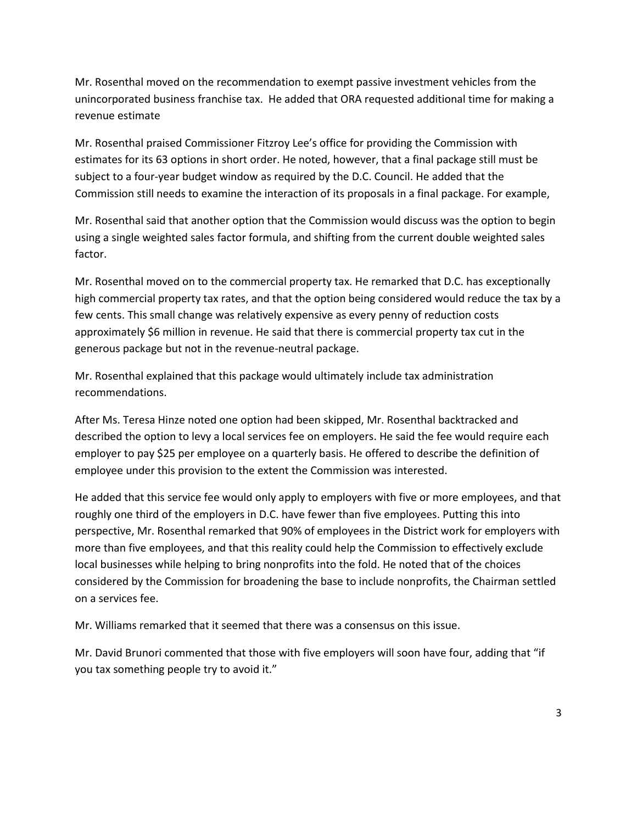Mr. Rosenthal moved on the recommendation to exempt passive investment vehicles from the unincorporated business franchise tax. He added that ORA requested additional time for making a revenue estimate

Mr. Rosenthal praised Commissioner Fitzroy Lee's office for providing the Commission with estimates for its 63 options in short order. He noted, however, that a final package still must be subject to a four-year budget window as required by the D.C. Council. He added that the Commission still needs to examine the interaction of its proposals in a final package. For example,

Mr. Rosenthal said that another option that the Commission would discuss was the option to begin using a single weighted sales factor formula, and shifting from the current double weighted sales factor.

Mr. Rosenthal moved on to the commercial property tax. He remarked that D.C. has exceptionally high commercial property tax rates, and that the option being considered would reduce the tax by a few cents. This small change was relatively expensive as every penny of reduction costs approximately \$6 million in revenue. He said that there is commercial property tax cut in the generous package but not in the revenue-neutral package.

Mr. Rosenthal explained that this package would ultimately include tax administration recommendations.

After Ms. Teresa Hinze noted one option had been skipped, Mr. Rosenthal backtracked and described the option to levy a local services fee on employers. He said the fee would require each employer to pay \$25 per employee on a quarterly basis. He offered to describe the definition of employee under this provision to the extent the Commission was interested.

He added that this service fee would only apply to employers with five or more employees, and that roughly one third of the employers in D.C. have fewer than five employees. Putting this into perspective, Mr. Rosenthal remarked that 90% of employees in the District work for employers with more than five employees, and that this reality could help the Commission to effectively exclude local businesses while helping to bring nonprofits into the fold. He noted that of the choices considered by the Commission for broadening the base to include nonprofits, the Chairman settled on a services fee.

Mr. Williams remarked that it seemed that there was a consensus on this issue.

Mr. David Brunori commented that those with five employers will soon have four, adding that "if you tax something people try to avoid it."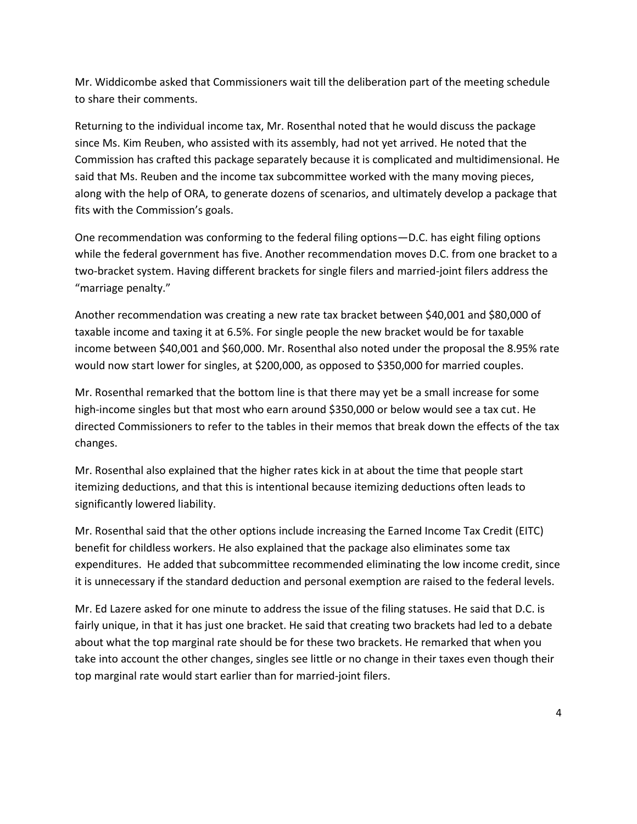Mr. Widdicombe asked that Commissioners wait till the deliberation part of the meeting schedule to share their comments.

Returning to the individual income tax, Mr. Rosenthal noted that he would discuss the package since Ms. Kim Reuben, who assisted with its assembly, had not yet arrived. He noted that the Commission has crafted this package separately because it is complicated and multidimensional. He said that Ms. Reuben and the income tax subcommittee worked with the many moving pieces, along with the help of ORA, to generate dozens of scenarios, and ultimately develop a package that fits with the Commission's goals.

One recommendation was conforming to the federal filing options—D.C. has eight filing options while the federal government has five. Another recommendation moves D.C. from one bracket to a two-bracket system. Having different brackets for single filers and married-joint filers address the "marriage penalty."

Another recommendation was creating a new rate tax bracket between \$40,001 and \$80,000 of taxable income and taxing it at 6.5%. For single people the new bracket would be for taxable income between \$40,001 and \$60,000. Mr. Rosenthal also noted under the proposal the 8.95% rate would now start lower for singles, at \$200,000, as opposed to \$350,000 for married couples.

Mr. Rosenthal remarked that the bottom line is that there may yet be a small increase for some high-income singles but that most who earn around \$350,000 or below would see a tax cut. He directed Commissioners to refer to the tables in their memos that break down the effects of the tax changes.

Mr. Rosenthal also explained that the higher rates kick in at about the time that people start itemizing deductions, and that this is intentional because itemizing deductions often leads to significantly lowered liability.

Mr. Rosenthal said that the other options include increasing the Earned Income Tax Credit (EITC) benefit for childless workers. He also explained that the package also eliminates some tax expenditures. He added that subcommittee recommended eliminating the low income credit, since it is unnecessary if the standard deduction and personal exemption are raised to the federal levels.

Mr. Ed Lazere asked for one minute to address the issue of the filing statuses. He said that D.C. is fairly unique, in that it has just one bracket. He said that creating two brackets had led to a debate about what the top marginal rate should be for these two brackets. He remarked that when you take into account the other changes, singles see little or no change in their taxes even though their top marginal rate would start earlier than for married-joint filers.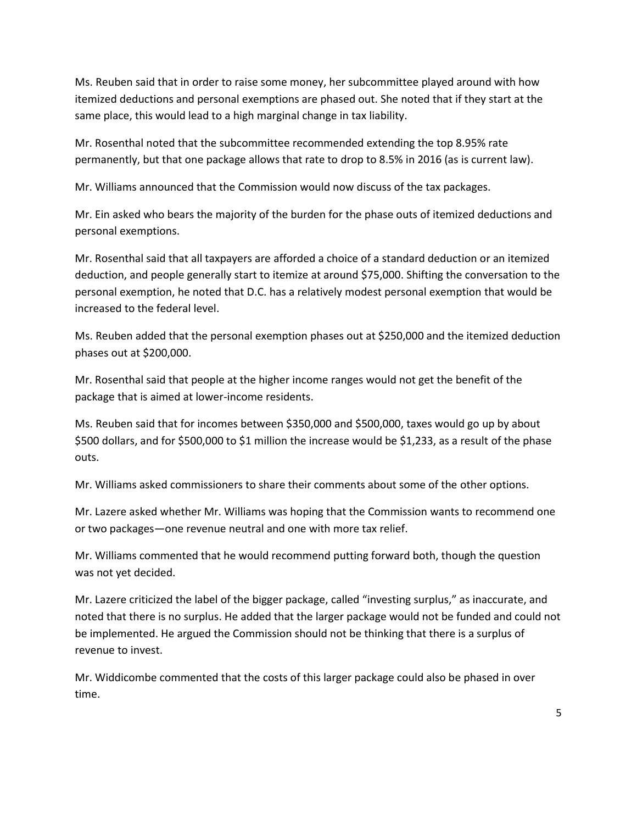Ms. Reuben said that in order to raise some money, her subcommittee played around with how itemized deductions and personal exemptions are phased out. She noted that if they start at the same place, this would lead to a high marginal change in tax liability.

Mr. Rosenthal noted that the subcommittee recommended extending the top 8.95% rate permanently, but that one package allows that rate to drop to 8.5% in 2016 (as is current law).

Mr. Williams announced that the Commission would now discuss of the tax packages.

Mr. Ein asked who bears the majority of the burden for the phase outs of itemized deductions and personal exemptions.

Mr. Rosenthal said that all taxpayers are afforded a choice of a standard deduction or an itemized deduction, and people generally start to itemize at around \$75,000. Shifting the conversation to the personal exemption, he noted that D.C. has a relatively modest personal exemption that would be increased to the federal level.

Ms. Reuben added that the personal exemption phases out at \$250,000 and the itemized deduction phases out at \$200,000.

Mr. Rosenthal said that people at the higher income ranges would not get the benefit of the package that is aimed at lower-income residents.

Ms. Reuben said that for incomes between \$350,000 and \$500,000, taxes would go up by about \$500 dollars, and for \$500,000 to \$1 million the increase would be \$1,233, as a result of the phase outs.

Mr. Williams asked commissioners to share their comments about some of the other options.

Mr. Lazere asked whether Mr. Williams was hoping that the Commission wants to recommend one or two packages—one revenue neutral and one with more tax relief.

Mr. Williams commented that he would recommend putting forward both, though the question was not yet decided.

Mr. Lazere criticized the label of the bigger package, called "investing surplus," as inaccurate, and noted that there is no surplus. He added that the larger package would not be funded and could not be implemented. He argued the Commission should not be thinking that there is a surplus of revenue to invest.

Mr. Widdicombe commented that the costs of this larger package could also be phased in over time.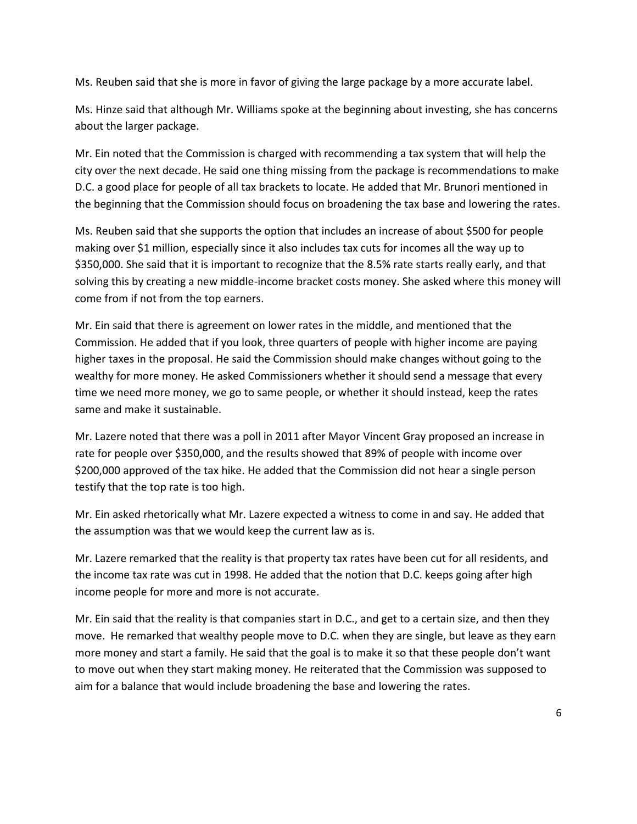Ms. Reuben said that she is more in favor of giving the large package by a more accurate label.

Ms. Hinze said that although Mr. Williams spoke at the beginning about investing, she has concerns about the larger package.

Mr. Ein noted that the Commission is charged with recommending a tax system that will help the city over the next decade. He said one thing missing from the package is recommendations to make D.C. a good place for people of all tax brackets to locate. He added that Mr. Brunori mentioned in the beginning that the Commission should focus on broadening the tax base and lowering the rates.

Ms. Reuben said that she supports the option that includes an increase of about \$500 for people making over \$1 million, especially since it also includes tax cuts for incomes all the way up to \$350,000. She said that it is important to recognize that the 8.5% rate starts really early, and that solving this by creating a new middle-income bracket costs money. She asked where this money will come from if not from the top earners.

Mr. Ein said that there is agreement on lower rates in the middle, and mentioned that the Commission. He added that if you look, three quarters of people with higher income are paying higher taxes in the proposal. He said the Commission should make changes without going to the wealthy for more money. He asked Commissioners whether it should send a message that every time we need more money, we go to same people, or whether it should instead, keep the rates same and make it sustainable.

Mr. Lazere noted that there was a poll in 2011 after Mayor Vincent Gray proposed an increase in rate for people over \$350,000, and the results showed that 89% of people with income over \$200,000 approved of the tax hike. He added that the Commission did not hear a single person testify that the top rate is too high.

Mr. Ein asked rhetorically what Mr. Lazere expected a witness to come in and say. He added that the assumption was that we would keep the current law as is.

Mr. Lazere remarked that the reality is that property tax rates have been cut for all residents, and the income tax rate was cut in 1998. He added that the notion that D.C. keeps going after high income people for more and more is not accurate.

Mr. Ein said that the reality is that companies start in D.C., and get to a certain size, and then they move. He remarked that wealthy people move to D.C. when they are single, but leave as they earn more money and start a family. He said that the goal is to make it so that these people don't want to move out when they start making money. He reiterated that the Commission was supposed to aim for a balance that would include broadening the base and lowering the rates.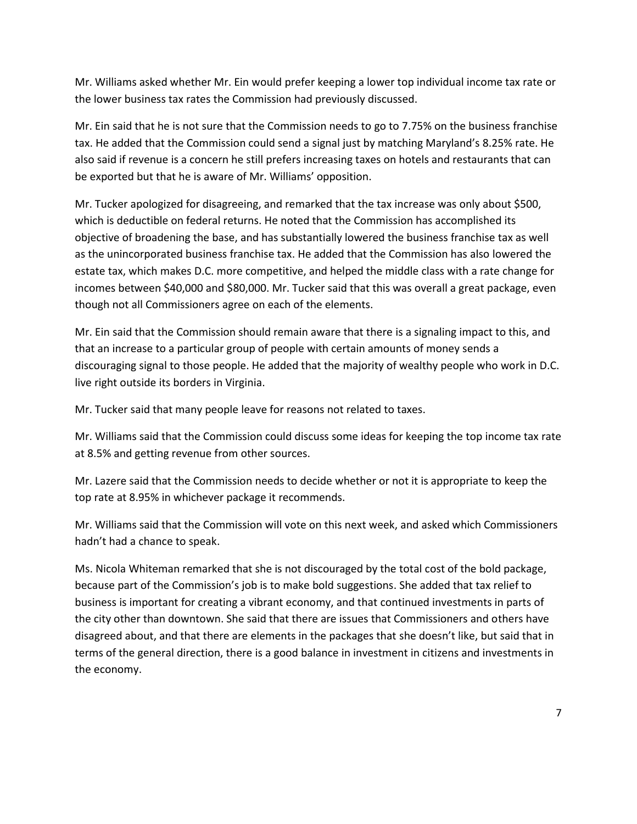Mr. Williams asked whether Mr. Ein would prefer keeping a lower top individual income tax rate or the lower business tax rates the Commission had previously discussed.

Mr. Ein said that he is not sure that the Commission needs to go to 7.75% on the business franchise tax. He added that the Commission could send a signal just by matching Maryland's 8.25% rate. He also said if revenue is a concern he still prefers increasing taxes on hotels and restaurants that can be exported but that he is aware of Mr. Williams' opposition.

Mr. Tucker apologized for disagreeing, and remarked that the tax increase was only about \$500, which is deductible on federal returns. He noted that the Commission has accomplished its objective of broadening the base, and has substantially lowered the business franchise tax as well as the unincorporated business franchise tax. He added that the Commission has also lowered the estate tax, which makes D.C. more competitive, and helped the middle class with a rate change for incomes between \$40,000 and \$80,000. Mr. Tucker said that this was overall a great package, even though not all Commissioners agree on each of the elements.

Mr. Ein said that the Commission should remain aware that there is a signaling impact to this, and that an increase to a particular group of people with certain amounts of money sends a discouraging signal to those people. He added that the majority of wealthy people who work in D.C. live right outside its borders in Virginia.

Mr. Tucker said that many people leave for reasons not related to taxes.

Mr. Williams said that the Commission could discuss some ideas for keeping the top income tax rate at 8.5% and getting revenue from other sources.

Mr. Lazere said that the Commission needs to decide whether or not it is appropriate to keep the top rate at 8.95% in whichever package it recommends.

Mr. Williams said that the Commission will vote on this next week, and asked which Commissioners hadn't had a chance to speak.

Ms. Nicola Whiteman remarked that she is not discouraged by the total cost of the bold package, because part of the Commission's job is to make bold suggestions. She added that tax relief to business is important for creating a vibrant economy, and that continued investments in parts of the city other than downtown. She said that there are issues that Commissioners and others have disagreed about, and that there are elements in the packages that she doesn't like, but said that in terms of the general direction, there is a good balance in investment in citizens and investments in the economy.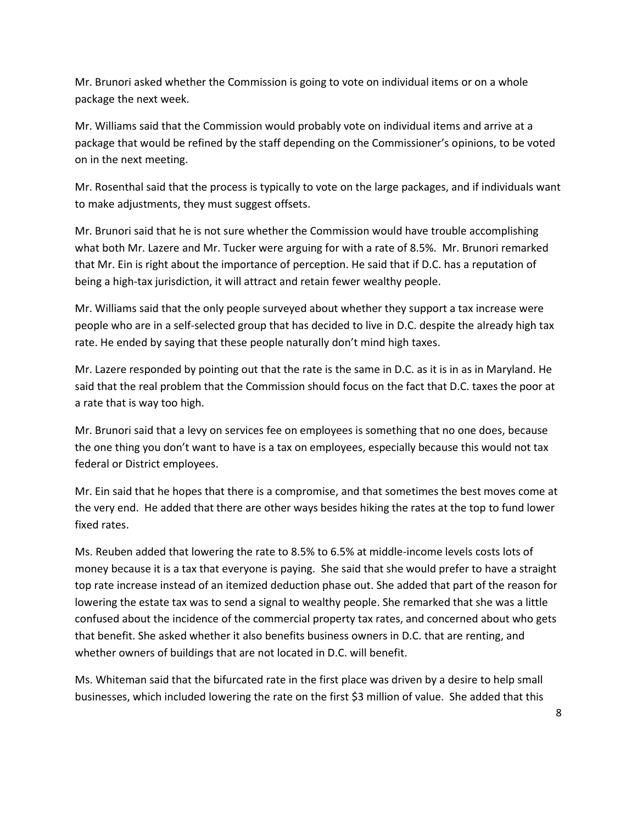Mr. Brunori asked whether the Commission is going to vote on individual items or on a whole package the next week.

Mr. Williams said that the Commission would probably vote on individual items and arrive at a package that would be refined by the staff depending on the Commissioner's opinions, to be voted on in the next meeting.

Mr. Rosenthal said that the process is typically to vote on the large packages, and if individuals want to make adjustments, they must suggest offsets.

Mr. Brunori said that he is not sure whether the Commission would have trouble accomplishing what both Mr. Lazere and Mr. Tucker were arguing for with a rate of 8.5%. Mr. Brunori remarked that Mr. Ein is right about the importance of perception. He said that if D.C. has a reputation of being a high-tax jurisdiction, it will attract and retain fewer wealthy people.

Mr. Williams said that the only people surveyed about whether they support a tax increase were people who are in a self-selected group that has decided to live in D.C. despite the already high tax rate. He ended by saying that these people naturally don't mind high taxes.

Mr. Lazere responded by pointing out that the rate is the same in D.C. as it is in as in Maryland. He said that the real problem that the Commission should focus on the fact that D.C. taxes the poor at a rate that is way too high.

Mr. Brunori said that a levy on services fee on employees is something that no one does, because the one thing you don't want to have is a tax on employees, especially because this would not tax federal or District employees.

Mr. Ein said that he hopes that there is a compromise, and that sometimes the best moves come at the very end. He added that there are other ways besides hiking the rates at the top to fund lower fixed rates.

Ms. Reuben added that lowering the rate to 8.5% to 6.5% at middle-income levels costs lots of money because it is a tax that everyone is paying. She said that she would prefer to have a straight top rate increase instead of an itemized deduction phase out. She added that part of the reason for lowering the estate tax was to send a signal to wealthy people. She remarked that she was a little confused about the incidence of the commercial property tax rates, and concerned about who gets that benefit. She asked whether it also benefits business owners in D.C. that are renting, and whether owners of buildings that are not located in D.C. will benefit.

Ms. Whiteman said that the bifurcated rate in the first place was driven by a desire to help small businesses, which included lowering the rate on the first \$3 million of value. She added that this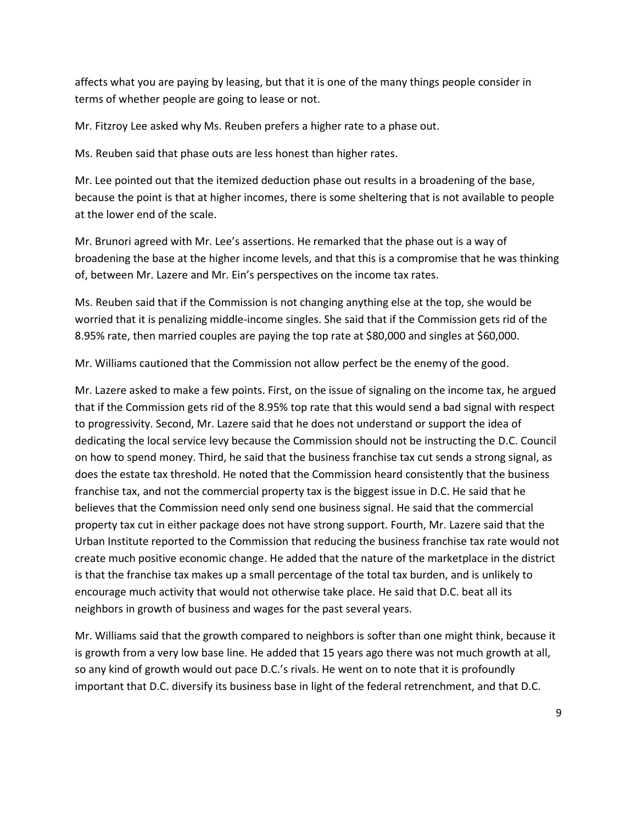affects what you are paying by leasing, but that it is one of the many things people consider in terms of whether people are going to lease or not.

Mr. Fitzroy Lee asked why Ms. Reuben prefers a higher rate to a phase out.

Ms. Reuben said that phase outs are less honest than higher rates.

Mr. Lee pointed out that the itemized deduction phase out results in a broadening of the base, because the point is that at higher incomes, there is some sheltering that is not available to people at the lower end of the scale.

Mr. Brunori agreed with Mr. Lee's assertions. He remarked that the phase out is a way of broadening the base at the higher income levels, and that this is a compromise that he was thinking of, between Mr. Lazere and Mr. Ein's perspectives on the income tax rates.

Ms. Reuben said that if the Commission is not changing anything else at the top, she would be worried that it is penalizing middle-income singles. She said that if the Commission gets rid of the 8.95% rate, then married couples are paying the top rate at \$80,000 and singles at \$60,000.

Mr. Williams cautioned that the Commission not allow perfect be the enemy of the good.

Mr. Lazere asked to make a few points. First, on the issue of signaling on the income tax, he argued that if the Commission gets rid of the 8.95% top rate that this would send a bad signal with respect to progressivity. Second, Mr. Lazere said that he does not understand or support the idea of dedicating the local service levy because the Commission should not be instructing the D.C. Council on how to spend money. Third, he said that the business franchise tax cut sends a strong signal, as does the estate tax threshold. He noted that the Commission heard consistently that the business franchise tax, and not the commercial property tax is the biggest issue in D.C. He said that he believes that the Commission need only send one business signal. He said that the commercial property tax cut in either package does not have strong support. Fourth, Mr. Lazere said that the Urban Institute reported to the Commission that reducing the business franchise tax rate would not create much positive economic change. He added that the nature of the marketplace in the district is that the franchise tax makes up a small percentage of the total tax burden, and is unlikely to encourage much activity that would not otherwise take place. He said that D.C. beat all its neighbors in growth of business and wages for the past several years.

Mr. Williams said that the growth compared to neighbors is softer than one might think, because it is growth from a very low base line. He added that 15 years ago there was not much growth at all, so any kind of growth would out pace D.C.'s rivals. He went on to note that it is profoundly important that D.C. diversify its business base in light of the federal retrenchment, and that D.C.